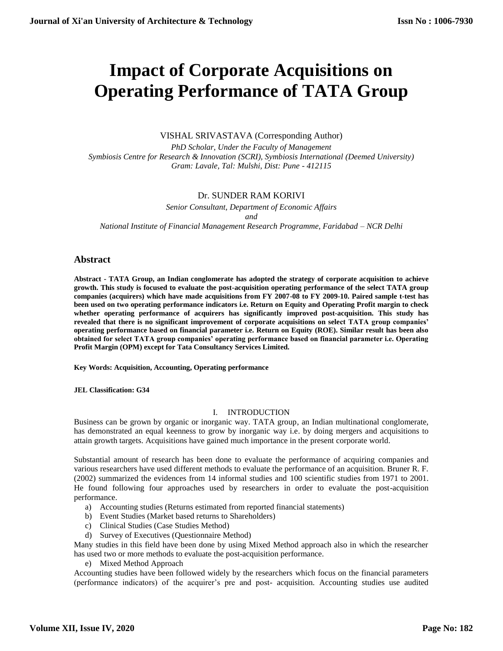# **Impact of Corporate Acquisitions on Operating Performance of TATA Group**

# VISHAL SRIVASTAVA (Corresponding Author)

*PhD Scholar, Under the Faculty of Management Symbiosis Centre for Research & Innovation (SCRI), Symbiosis International (Deemed University) Gram: Lavale, Tal: Mulshi, Dist: Pune - 412115*

# Dr. SUNDER RAM KORIVI

*Senior Consultant, Department of Economic Affairs and National Institute of Financial Management Research Programme, Faridabad – NCR Delhi*

# **Abstract**

**Abstract - TATA Group, an Indian conglomerate has adopted the strategy of corporate acquisition to achieve growth. This study is focused to evaluate the post-acquisition operating performance of the select TATA group companies (acquirers) which have made acquisitions from FY 2007-08 to FY 2009-10. Paired sample t-test has been used on two operating performance indicators i.e. Return on Equity and Operating Profit margin to check whether operating performance of acquirers has significantly improved post-acquisition. This study has revealed that there is no significant improvement of corporate acquisitions on select TATA group companies' operating performance based on financial parameter i.e. Return on Equity (ROE). Similar result has been also obtained for select TATA group companies' operating performance based on financial parameter i.e. Operating Profit Margin (OPM) except for Tata Consultancy Services Limited.**

**Key Words: Acquisition, Accounting, Operating performance** 

**JEL Classification: G34** 

#### I. INTRODUCTION

Business can be grown by organic or inorganic way. TATA group, an Indian multinational conglomerate, has demonstrated an equal keenness to grow by inorganic way i.e. by doing mergers and acquisitions to attain growth targets. Acquisitions have gained much importance in the present corporate world.

Substantial amount of research has been done to evaluate the performance of acquiring companies and various researchers have used different methods to evaluate the performance of an acquisition. Bruner R. F. (2002) summarized the evidences from 14 informal studies and 100 scientific studies from 1971 to 2001. He found following four approaches used by researchers in order to evaluate the post-acquisition performance.

- a) Accounting studies (Returns estimated from reported financial statements)
- b) Event Studies (Market based returns to Shareholders)
- c) Clinical Studies (Case Studies Method)
- d) Survey of Executives (Questionnaire Method)

Many studies in this field have been done by using Mixed Method approach also in which the researcher has used two or more methods to evaluate the post-acquisition performance.

e) Mixed Method Approach

Accounting studies have been followed widely by the researchers which focus on the financial parameters (performance indicators) of the acquirer's pre and post- acquisition. Accounting studies use audited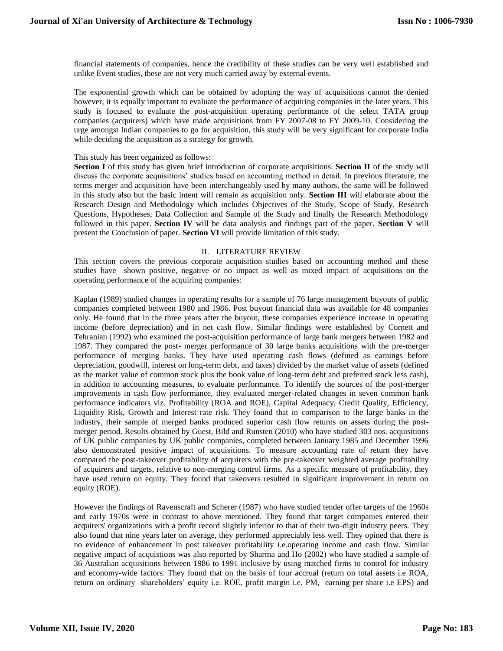financial statements of companies, hence the credibility of these studies can be very well established and unlike Event studies, these are not very much carried away by external events.

The exponential growth which can be obtained by adopting the way of acquisitions cannot the denied however, it is equally important to evaluate the performance of acquiring companies in the later years. This study is focused to evaluate the post-acquisition operating performance of the select TATA group companies (acquirers) which have made acquisitions from FY 2007-08 to FY 2009-10. Considering the urge amongst Indian companies to go for acquisition, this study will be very significant for corporate India while deciding the acquisition as a strategy for growth.

#### This study has been organized as follows:

**Section I** of this study has given brief introduction of corporate acquisitions. **Section II** of the study will discuss the corporate acquisitions' studies based on accounting method in detail. In previous literature, the terms merger and acquisition have been interchangeably used by many authors, the same will be followed in this study also but the basic intent will remain as acquisition only. **Section III** will elaborate about the Research Design and Methodology which includes Objectives of the Study, Scope of Study, Research Questions, Hypotheses, Data Collection and Sample of the Study and finally the Research Methodology followed in this paper. **Section IV** will be data analysis and findings part of the paper. **Section V** will present the Conclusion of paper. **Section VI** will provide limitation of this study.

#### II. LITERATURE REVIEW

This section covers the previous corporate acquisition studies based on accounting method and these studies have shown positive, negative or no impact as well as mixed impact of acquisitions on the operating performance of the acquiring companies:

Kaplan (1989) studied changes in operating results for a sample of 76 large management buyouts of public companies completed between 1980 and 1986. Post buyout financial data was available for 48 companies only. He found that in the three years after the buyout, these companies experience increase in operating income (before depreciation) and in net cash flow. Similar findings were established by Cornett and Tehranian (1992) who examined the post-acquisition performance of large bank mergers between 1982 and 1987. They compared the post- merger performance of 30 large banks acquisitions with the pre-merger performance of merging banks. They have used operating cash flows (defined as earnings before depreciation, goodwill, interest on long-term debt, and taxes) divided by the market value of assets (defined as the market value of common stock plus the book value of long-term debt and preferred stock less cash), in addition to accounting measures, to evaluate performance. To identify the sources of the post-merger improvements in cash flow performance, they evaluated merger-related changes in seven common bank performance indicators viz. Profitability (ROA and ROE), Capital Adequacy, Credit Quality, Efficiency, Liquidity Risk, Growth and Interest rate risk. They found that in comparison to the large banks in the industry, their sample of merged banks produced superior cash flow returns on assets during the postmerger period. Results obtained by Guest, Bild and Runsten (2010) who have studied 303 nos. acquisitions of UK public companies by UK public companies, completed between January 1985 and December 1996 also demonstrated positive impact of acquisitions. To measure accounting rate of return they have compared the post-takeover profitability of acquirers with the pre-takeover weighted average profitability of acquirers and targets, relative to non-merging control firms. As a specific measure of profitability, they have used return on equity. They found that takeovers resulted in significant improvement in return on equity (ROE).

However the findings of Ravenscraft and Scherer (1987) who have studied tender offer targets of the 1960s and early 1970s were in contrast to above mentioned. They found that target companies entered their acquirers' organizations with a profit record slightly inferior to that of their two-digit industry peers. They also found that nine years later on average, they performed appreciably less well. They opined that there is no evidence of enhancement in post takeover profitability i.e.operating income and cash flow. Similar negative impact of acquistions was also reported by Sharma and Ho (2002) who have studied a sample of 36 Australian acquisitions between 1986 to 1991 inclusive by using matched firms to control for industry and economy-wide factors. They found that on the basis of four accrual (return on total assets i.e ROA, return on ordinary shareholders' equity i.e. ROE, profit margin i.e. PM, earning per share i.e EPS) and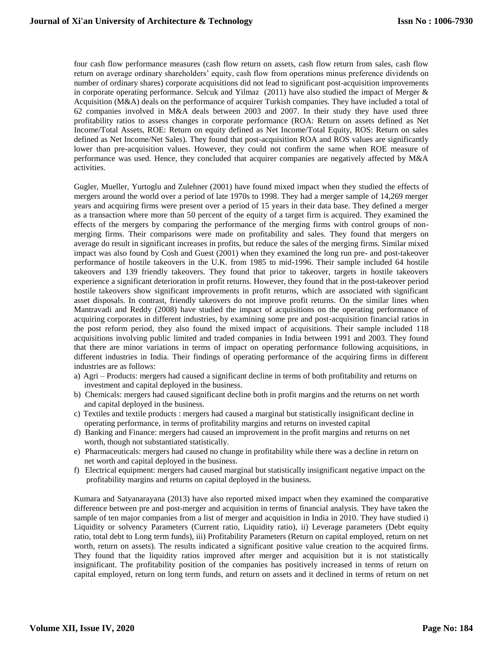four cash flow performance measures (cash flow return on assets, cash flow return from sales, cash flow return on average ordinary shareholders' equity, cash flow from operations minus preference dividends on number of ordinary shares) corporate acquisitions did not lead to significant post-acquisition improvements in corporate operating performance. Selcuk and Yilmaz (2011) have also studied the impact of Merger & Acquisition (M&A) deals on the performance of acquirer Turkish companies. They have included a total of 62 companies involved in M&A deals between 2003 and 2007. In their study they have used three profitability ratios to assess changes in corporate performance (ROA: Return on assets defined as Net Income/Total Assets, ROE: Return on equity defined as Net Income/Total Equity, ROS: Return on sales defined as Net Income/Net Sales). They found that post-acquisition ROA and ROS values are significantly lower than pre-acquisition values. However, they could not confirm the same when ROE measure of performance was used. Hence, they concluded that acquirer companies are negatively affected by M&A activities.

Gugler, Mueller, Yurtoglu and Zulehner (2001) have found mixed impact when they studied the effects of mergers around the world over a period of late 1970s to 1998. They had a merger sample of 14,269 merger years and acquiring firms were present over a period of 15 years in their data base. They defined a merger as a transaction where more than 50 percent of the equity of a target firm is acquired. They examined the effects of the mergers by comparing the performance of the merging firms with control groups of nonmerging firms. Their comparisons were made on profitability and sales. They found that mergers on average do result in significant increases in profits, but reduce the sales of the merging firms. Similar mixed impact was also found by Cosh and Guest (2001) when they examined the long run pre- and post-takeover performance of hostile takeovers in the U.K. from 1985 to mid-1996. Their sample included 64 hostile takeovers and 139 friendly takeovers. They found that prior to takeover, targets in hostile takeovers experience a significant deterioration in profit returns. However, they found that in the post-takeover period hostile takeovers show significant improvements in profit returns, which are associated with significant asset disposals. In contrast, friendly takeovers do not improve profit returns. On the similar lines when Mantravadi and Reddy (2008) have studied the impact of acquisitions on the operating performance of acquiring corporates in different industries, by examining some pre and post-acquisition financial ratios in the post reform period, they also found the mixed impact of acquisitions. Their sample included 118 acquisitions involving public limited and traded companies in India between 1991 and 2003. They found that there are minor variations in terms of impact on operating performance following acquisitions, in different industries in India. Their findings of operating performance of the acquiring firms in different industries are as follows:

- a) Agri Products: mergers had caused a significant decline in terms of both profitability and returns on investment and capital deployed in the business.
- b) Chemicals: mergers had caused significant decline both in profit margins and the returns on net worth and capital deployed in the business.
- c) Textiles and textile products : mergers had caused a marginal but statistically insignificant decline in operating performance, in terms of profitability margins and returns on invested capital
- d) Banking and Finance: mergers had caused an improvement in the profit margins and returns on net worth, though not substantiated statistically.
- e) Pharmaceuticals: mergers had caused no change in profitability while there was a decline in return on net worth and capital deployed in the business.
- f) Electrical equipment: mergers had caused marginal but statistically insignificant negative impact on the profitability margins and returns on capital deployed in the business.

Kumara and Satyanarayana (2013) have also reported mixed impact when they examined the comparative difference between pre and post-merger and acquisition in terms of financial analysis. They have taken the sample of ten major companies from a list of merger and acquisition in India in 2010. They have studied i) Liquidity or solvency Parameters (Current ratio, Liquidity ratio), ii) Leverage parameters (Debt equity ratio, total debt to Long term funds), iii) Profitability Parameters (Return on capital employed, return on net worth, return on assets). The results indicated a significant positive value creation to the acquired firms. They found that the liquidity ratios improved after merger and acquisition but it is not statistically insignificant. The profitability position of the companies has positively increased in terms of return on capital employed, return on long term funds, and return on assets and it declined in terms of return on net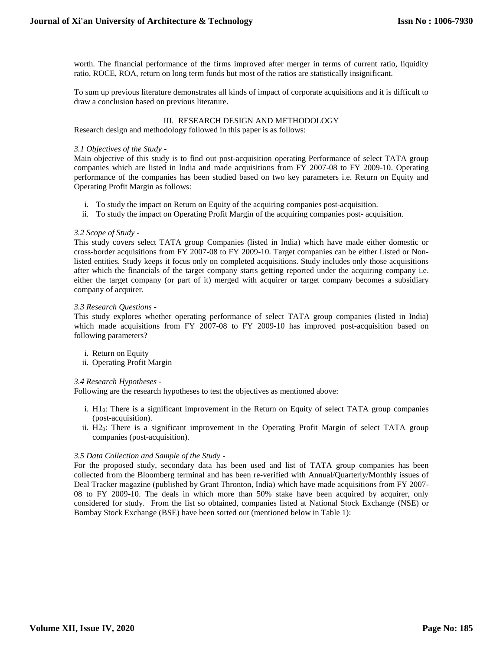worth. The financial performance of the firms improved after merger in terms of current ratio, liquidity ratio, ROCE, ROA, return on long term funds but most of the ratios are statistically insignificant.

To sum up previous literature demonstrates all kinds of impact of corporate acquisitions and it is difficult to draw a conclusion based on previous literature.

#### III. RESEARCH DESIGN AND METHODOLOGY

Research design and methodology followed in this paper is as follows:

#### *3.1 Objectives of the Study -*

Main objective of this study is to find out post-acquisition operating Performance of select TATA group companies which are listed in India and made acquisitions from FY 2007-08 to FY 2009-10. Operating performance of the companies has been studied based on two key parameters i.e. Return on Equity and Operating Profit Margin as follows:

- i. To study the impact on Return on Equity of the acquiring companies post-acquisition.
- ii. To study the impact on Operating Profit Margin of the acquiring companies post- acquisition.

#### *3.2 Scope of Study -*

This study covers select TATA group Companies (listed in India) which have made either domestic or cross-border acquisitions from FY 2007-08 to FY 2009-10. Target companies can be either Listed or Nonlisted entities. Study keeps it focus only on completed acquisitions. Study includes only those acquisitions after which the financials of the target company starts getting reported under the acquiring company i.e. either the target company (or part of it) merged with acquirer or target company becomes a subsidiary company of acquirer.

#### *3.3 Research Questions -*

This study explores whether operating performance of select TATA group companies (listed in India) which made acquisitions from FY 2007-08 to FY 2009-10 has improved post-acquisition based on following parameters?

- i. Return on Equity
- ii. Operating Profit Margin

#### *3.4 Research Hypotheses -*

Following are the research hypotheses to test the objectives as mentioned above:

- i. H10: There is a significant improvement in the Return on Equity of select TATA group companies (post-acquisition).
- ii. H20: There is a significant improvement in the Operating Profit Margin of select TATA group companies (post-acquisition).

#### *3.5 Data Collection and Sample of the Study -*

For the proposed study, secondary data has been used and list of TATA group companies has been collected from the Bloomberg terminal and has been re-verified with Annual/Quarterly/Monthly issues of Deal Tracker magazine (published by Grant Thronton, India) which have made acquisitions from FY 2007- 08 to FY 2009-10. The deals in which more than 50% stake have been acquired by acquirer, only considered for study. From the list so obtained, companies listed at National Stock Exchange (NSE) or Bombay Stock Exchange (BSE) have been sorted out (mentioned below in Table 1):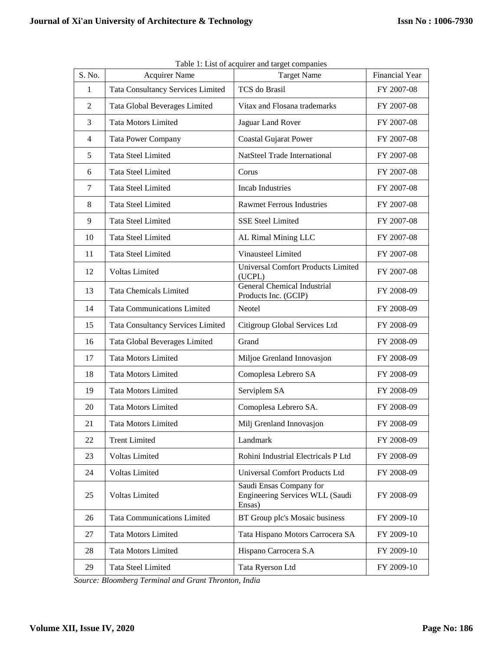|                |                                          | Table 1. East of acquirer and target companies                       |                       |
|----------------|------------------------------------------|----------------------------------------------------------------------|-----------------------|
| S. No.         | <b>Acquirer Name</b>                     | <b>Target Name</b>                                                   | <b>Financial Year</b> |
| $\mathbf{1}$   | <b>Tata Consultancy Services Limited</b> | TCS do Brasil                                                        | FY 2007-08            |
| $\overline{2}$ | Tata Global Beverages Limited            | Vitax and Flosana trademarks                                         | FY 2007-08            |
| 3              | <b>Tata Motors Limited</b>               | Jaguar Land Rover                                                    | FY 2007-08            |
| $\overline{4}$ | <b>Tata Power Company</b>                | <b>Coastal Gujarat Power</b>                                         | FY 2007-08            |
| 5              | <b>Tata Steel Limited</b>                | NatSteel Trade International                                         | FY 2007-08            |
| 6              | <b>Tata Steel Limited</b>                | Corus                                                                | FY 2007-08            |
| $\tau$         | <b>Tata Steel Limited</b>                | <b>Incab Industries</b>                                              | FY 2007-08            |
| 8              | <b>Tata Steel Limited</b>                | <b>Rawmet Ferrous Industries</b>                                     | FY 2007-08            |
| 9              | <b>Tata Steel Limited</b>                | <b>SSE Steel Limited</b>                                             | FY 2007-08            |
| 10             | <b>Tata Steel Limited</b>                | AL Rimal Mining LLC                                                  | FY 2007-08            |
| 11             | <b>Tata Steel Limited</b>                | Vinausteel Limited                                                   | FY 2007-08            |
| 12             | Voltas Limited                           | <b>Universal Comfort Products Limited</b><br>(UCPL)                  | FY 2007-08            |
| 13             | <b>Tata Chemicals Limited</b>            | <b>General Chemical Industrial</b><br>Products Inc. (GCIP)           | FY 2008-09            |
| 14             | <b>Tata Communications Limited</b>       | Neotel                                                               | FY 2008-09            |
| 15             | <b>Tata Consultancy Services Limited</b> | Citigroup Global Services Ltd                                        | FY 2008-09            |
| 16             | Tata Global Beverages Limited            | Grand                                                                | FY 2008-09            |
| 17             | <b>Tata Motors Limited</b>               | Miljoe Grenland Innovasjon                                           | FY 2008-09            |
| 18             | <b>Tata Motors Limited</b>               | Comoplesa Lebrero SA                                                 | FY 2008-09            |
| 19             | <b>Tata Motors Limited</b>               | Serviplem SA                                                         | FY 2008-09            |
| 20             | <b>Tata Motors Limited</b>               | Comoplesa Lebrero SA.                                                | FY 2008-09            |
| 21             | <b>Tata Motors Limited</b>               | Milj Grenland Innovasjon                                             | FY 2008-09            |
| 22             | <b>Trent Limited</b>                     | Landmark                                                             | FY 2008-09            |
| 23             | <b>Voltas Limited</b>                    | Rohini Industrial Electricals P Ltd                                  | FY 2008-09            |
| 24             | <b>Voltas Limited</b>                    | <b>Universal Comfort Products Ltd</b>                                | FY 2008-09            |
| 25             | Voltas Limited                           | Saudi Ensas Company for<br>Engineering Services WLL (Saudi<br>Ensas) | FY 2008-09            |
| 26             | <b>Tata Communications Limited</b>       | BT Group plc's Mosaic business                                       | FY 2009-10            |
| 27             | <b>Tata Motors Limited</b>               | Tata Hispano Motors Carrocera SA                                     | FY 2009-10            |
| 28             | <b>Tata Motors Limited</b>               | Hispano Carrocera S.A                                                | FY 2009-10            |
| 29             | <b>Tata Steel Limited</b>                | Tata Ryerson Ltd                                                     | FY 2009-10            |

Table 1: List of acquirer and target companies

*Source: Bloomberg Terminal and Grant Thronton, India*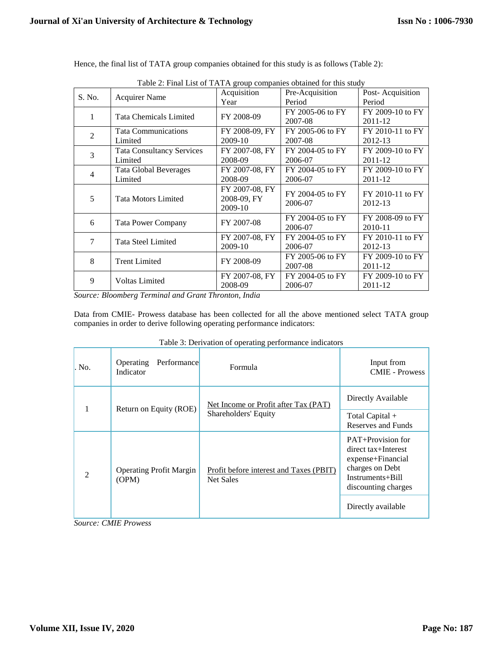| Table 2: Final List of TATA group companies obtained for this study |                                  |                |                  |                  |  |  |  |  |
|---------------------------------------------------------------------|----------------------------------|----------------|------------------|------------------|--|--|--|--|
| S. No.                                                              | <b>Acquirer Name</b>             | Acquisition    | Pre-Acquisition  | Post-Acquisition |  |  |  |  |
|                                                                     |                                  | Year           | Period           | Period           |  |  |  |  |
| 1                                                                   | <b>Tata Chemicals Limited</b>    | FY 2008-09     | FY 2005-06 to FY | FY 2009-10 to FY |  |  |  |  |
|                                                                     |                                  |                | 2007-08          | 2011-12          |  |  |  |  |
| $\overline{2}$                                                      | <b>Tata Communications</b>       | FY 2008-09, FY | FY 2005-06 to FY | FY 2010-11 to FY |  |  |  |  |
|                                                                     | Limited                          | 2009-10        | 2007-08          | 2012-13          |  |  |  |  |
| 3                                                                   | <b>Tata Consultancy Services</b> | FY 2007-08. FY | FY 2004-05 to FY | FY 2009-10 to FY |  |  |  |  |
|                                                                     | Limited                          | 2008-09        | 2006-07          | 2011-12          |  |  |  |  |
| 4                                                                   | <b>Tata Global Beverages</b>     | FY 2007-08, FY | FY 2004-05 to FY | FY 2009-10 to FY |  |  |  |  |
|                                                                     | Limited                          | 2008-09        | 2006-07          | 2011-12          |  |  |  |  |
|                                                                     |                                  | FY 2007-08, FY | FY 2004-05 to FY | FY 2010-11 to FY |  |  |  |  |
| 5                                                                   | <b>Tata Motors Limited</b>       | 2008-09, FY    | 2006-07          | 2012-13          |  |  |  |  |
|                                                                     |                                  | 2009-10        |                  |                  |  |  |  |  |
| 6                                                                   | <b>Tata Power Company</b>        | FY 2007-08     | FY 2004-05 to FY | FY 2008-09 to FY |  |  |  |  |
|                                                                     |                                  |                | 2006-07          | 2010-11          |  |  |  |  |
| 7                                                                   | Tata Steel Limited               | FY 2007-08, FY | FY 2004-05 to FY | FY 2010-11 to FY |  |  |  |  |
|                                                                     |                                  | 2009-10        | 2006-07          | 2012-13          |  |  |  |  |
| 8                                                                   |                                  |                | FY 2005-06 to FY | FY 2009-10 to FY |  |  |  |  |
|                                                                     | <b>Trent Limited</b>             | FY 2008-09     | 2007-08          | 2011-12          |  |  |  |  |
| 9                                                                   | <b>Voltas Limited</b>            | FY 2007-08, FY | FY 2004-05 to FY | FY 2009-10 to FY |  |  |  |  |
|                                                                     |                                  | 2008-09        | 2006-07          | 2011-12          |  |  |  |  |

Hence, the final list of TATA group companies obtained for this study is as follows (Table 2):

Table 2: Final List of TATA group companies obtained for this study

*Source: Bloomberg Terminal and Grant Thronton, India*

Data from CMIE- Prowess database has been collected for all the above mentioned select TATA group companies in order to derive following operating performance indicators:

| I avic 5. Derivation of operating performance mulcators |                                         |                                                      |                                                                                                                             |  |  |  |  |  |  |
|---------------------------------------------------------|-----------------------------------------|------------------------------------------------------|-----------------------------------------------------------------------------------------------------------------------------|--|--|--|--|--|--|
| No.                                                     | Operating<br>Performance<br>Indicator   | Formula                                              | Input from<br><b>CMIE</b> - Prowess                                                                                         |  |  |  |  |  |  |
|                                                         |                                         | Net Income or Profit after Tax (PAT)                 | Directly Available                                                                                                          |  |  |  |  |  |  |
|                                                         | Return on Equity (ROE)                  | Shareholders' Equity                                 | Total Capital +<br>Reserves and Funds                                                                                       |  |  |  |  |  |  |
| $\mathcal{D}$                                           | <b>Operating Profit Margin</b><br>(OPM) | Profit before interest and Taxes (PBIT)<br>Net Sales | PAT+Provision for<br>direct tax+Interest<br>expense+Financial<br>charges on Debt<br>Instruments+Bill<br>discounting charges |  |  |  |  |  |  |
|                                                         |                                         |                                                      | Directly available                                                                                                          |  |  |  |  |  |  |

Table 3: Derivation of operating performance indicators

*Source: CMIE Prowess*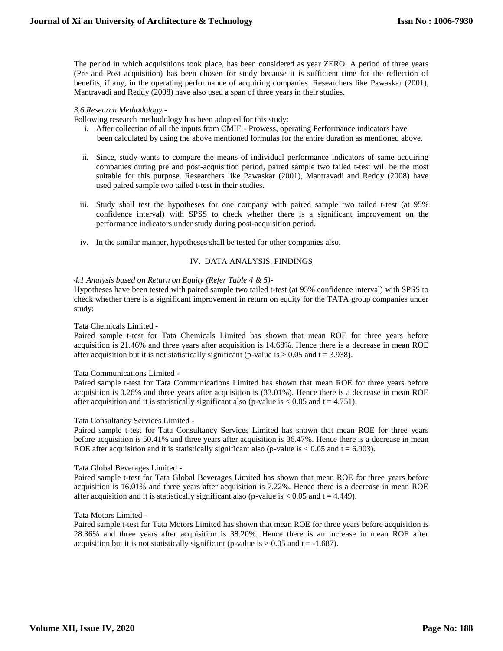The period in which acquisitions took place, has been considered as year ZERO. A period of three years (Pre and Post acquisition) has been chosen for study because it is sufficient time for the reflection of benefits, if any, in the operating performance of acquiring companies. Researchers like Pawaskar (2001), Mantravadi and Reddy (2008) have also used a span of three years in their studies.

#### *3.6 Research Methodology -*

Following research methodology has been adopted for this study:

- i. After collection of all the inputs from CMIE Prowess, operating Performance indicators have been calculated by using the above mentioned formulas for the entire duration as mentioned above.
- ii. Since, study wants to compare the means of individual performance indicators of same acquiring companies during pre and post-acquisition period, paired sample two tailed t-test will be the most suitable for this purpose. Researchers like Pawaskar (2001), Mantravadi and Reddy (2008) have used paired sample two tailed t-test in their studies.
- iii. Study shall test the hypotheses for one company with paired sample two tailed t-test (at 95% confidence interval) with SPSS to check whether there is a significant improvement on the performance indicators under study during post-acquisition period.
- iv. In the similar manner, hypotheses shall be tested for other companies also.

# IV. DATA ANALYSIS, FINDINGS

# *4.1 Analysis based on Return on Equity (Refer Table 4 & 5)-*

Hypotheses have been tested with paired sample two tailed t-test (at 95% confidence interval) with SPSS to check whether there is a significant improvement in return on equity for the TATA group companies under study:

#### Tata Chemicals Limited -

Paired sample t-test for Tata Chemicals Limited has shown that mean ROE for three years before acquisition is 21.46% and three years after acquisition is 14.68%. Hence there is a decrease in mean ROE after acquisition but it is not statistically significant (p-value is  $> 0.05$  and t = 3.938).

#### Tata Communications Limited -

Paired sample t-test for Tata Communications Limited has shown that mean ROE for three years before acquisition is 0.26% and three years after acquisition is (33.01%). Hence there is a decrease in mean ROE after acquisition and it is statistically significant also (p-value is  $< 0.05$  and  $t = 4.751$ ).

#### Tata Consultancy Services Limited -

Paired sample t-test for Tata Consultancy Services Limited has shown that mean ROE for three years before acquisition is 50.41% and three years after acquisition is 36.47%. Hence there is a decrease in mean ROE after acquisition and it is statistically significant also (p-value is  $< 0.05$  and  $t = 6.903$ ).

#### Tata Global Beverages Limited -

Paired sample t-test for Tata Global Beverages Limited has shown that mean ROE for three years before acquisition is 16.01% and three years after acquisition is 7.22%. Hence there is a decrease in mean ROE after acquisition and it is statistically significant also (p-value is  $< 0.05$  and t = 4.449).

#### Tata Motors Limited -

Paired sample t-test for Tata Motors Limited has shown that mean ROE for three years before acquisition is 28.36% and three years after acquisition is 38.20%. Hence there is an increase in mean ROE after acquisition but it is not statistically significant (p-value is  $> 0.05$  and t = -1.687).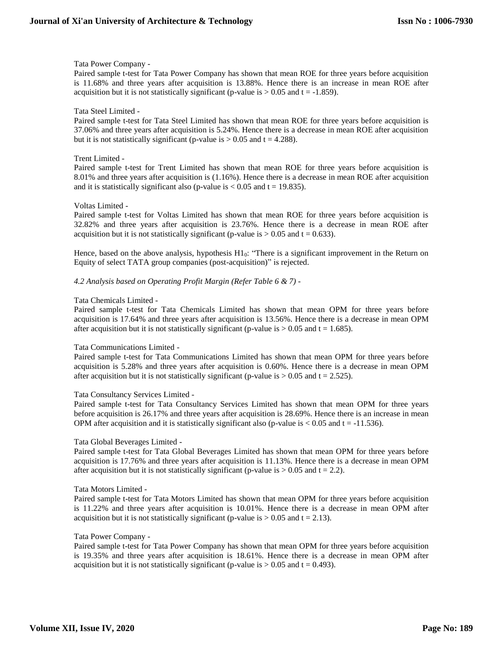## Tata Power Company -

Paired sample t-test for Tata Power Company has shown that mean ROE for three years before acquisition is 11.68% and three years after acquisition is 13.88%. Hence there is an increase in mean ROE after acquisition but it is not statistically significant (p-value is  $> 0.05$  and t = -1.859).

# Tata Steel Limited -

Paired sample t-test for Tata Steel Limited has shown that mean ROE for three years before acquisition is 37.06% and three years after acquisition is 5.24%. Hence there is a decrease in mean ROE after acquisition but it is not statistically significant (p-value is  $> 0.05$  and t = 4.288).

# Trent Limited -

Paired sample t-test for Trent Limited has shown that mean ROE for three years before acquisition is 8.01% and three years after acquisition is (1.16%). Hence there is a decrease in mean ROE after acquisition and it is statistically significant also (p-value is  $< 0.05$  and t = 19.835).

# Voltas Limited -

Paired sample t-test for Voltas Limited has shown that mean ROE for three years before acquisition is 32.82% and three years after acquisition is 23.76%. Hence there is a decrease in mean ROE after acquisition but it is not statistically significant (p-value is  $> 0.05$  and t = 0.633).

Hence, based on the above analysis, hypothesis H10: "There is a significant improvement in the Return on Equity of select TATA group companies (post-acquisition)" is rejected.

*4.2 Analysis based on Operating Profit Margin (Refer Table 6 & 7) -*

# Tata Chemicals Limited -

Paired sample t-test for Tata Chemicals Limited has shown that mean OPM for three years before acquisition is 17.64% and three years after acquisition is 13.56%. Hence there is a decrease in mean OPM after acquisition but it is not statistically significant (p-value is  $> 0.05$  and t = 1.685).

#### Tata Communications Limited -

Paired sample t-test for Tata Communications Limited has shown that mean OPM for three years before acquisition is 5.28% and three years after acquisition is 0.60%. Hence there is a decrease in mean OPM after acquisition but it is not statistically significant (p-value is  $> 0.05$  and t = 2.525).

#### Tata Consultancy Services Limited -

Paired sample t-test for Tata Consultancy Services Limited has shown that mean OPM for three years before acquisition is 26.17% and three years after acquisition is 28.69%. Hence there is an increase in mean OPM after acquisition and it is statistically significant also (p-value is  $< 0.05$  and t = -11.536).

#### Tata Global Beverages Limited -

Paired sample t-test for Tata Global Beverages Limited has shown that mean OPM for three years before acquisition is 17.76% and three years after acquisition is 11.13%. Hence there is a decrease in mean OPM after acquisition but it is not statistically significant (p-value is  $> 0.05$  and t = 2.2).

#### Tata Motors Limited -

Paired sample t-test for Tata Motors Limited has shown that mean OPM for three years before acquisition is 11.22% and three years after acquisition is 10.01%. Hence there is a decrease in mean OPM after acquisition but it is not statistically significant (p-value is  $> 0.05$  and t = 2.13).

#### Tata Power Company -

Paired sample t-test for Tata Power Company has shown that mean OPM for three years before acquisition is 19.35% and three years after acquisition is 18.61%. Hence there is a decrease in mean OPM after acquisition but it is not statistically significant (p-value is  $> 0.05$  and t = 0.493).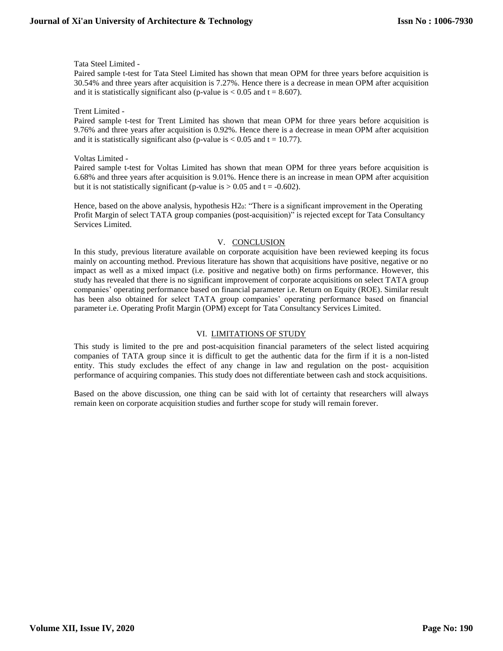Tata Steel Limited -

Paired sample t-test for Tata Steel Limited has shown that mean OPM for three years before acquisition is 30.54% and three years after acquisition is 7.27%. Hence there is a decrease in mean OPM after acquisition and it is statistically significant also (p-value is  $< 0.05$  and t = 8.607).

Trent Limited -

Paired sample t-test for Trent Limited has shown that mean OPM for three years before acquisition is 9.76% and three years after acquisition is 0.92%. Hence there is a decrease in mean OPM after acquisition and it is statistically significant also (p-value is  $< 0.05$  and t = 10.77).

Voltas Limited -

Paired sample t-test for Voltas Limited has shown that mean OPM for three years before acquisition is 6.68% and three years after acquisition is 9.01%. Hence there is an increase in mean OPM after acquisition but it is not statistically significant (p-value is  $> 0.05$  and t = -0.602).

Hence, based on the above analysis, hypothesis  $H2<sub>0</sub>$ : "There is a significant improvement in the Operating Profit Margin of select TATA group companies (post-acquisition)" is rejected except for Tata Consultancy Services Limited.

# V. CONCLUSION

In this study, previous literature available on corporate acquisition have been reviewed keeping its focus mainly on accounting method. Previous literature has shown that acquisitions have positive, negative or no impact as well as a mixed impact (i.e. positive and negative both) on firms performance. However, this study has revealed that there is no significant improvement of corporate acquisitions on select TATA group companies' operating performance based on financial parameter i.e. Return on Equity (ROE). Similar result has been also obtained for select TATA group companies' operating performance based on financial parameter i.e. Operating Profit Margin (OPM) except for Tata Consultancy Services Limited.

# VI. LIMITATIONS OF STUDY

This study is limited to the pre and post-acquisition financial parameters of the select listed acquiring companies of TATA group since it is difficult to get the authentic data for the firm if it is a non-listed entity. This study excludes the effect of any change in law and regulation on the post- acquisition performance of acquiring companies. This study does not differentiate between cash and stock acquisitions.

Based on the above discussion, one thing can be said with lot of certainty that researchers will always remain keen on corporate acquisition studies and further scope for study will remain forever.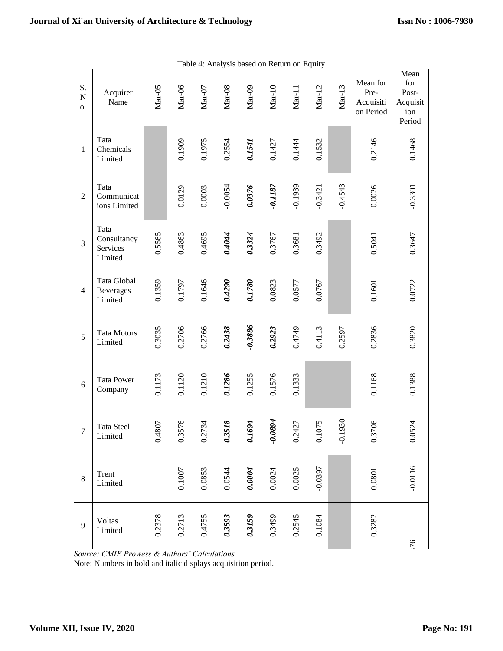| S.<br>${\bf N}$<br>0. | Acquirer<br>Name                           | Mar-05                | Mar-06                | $\text{Mar-}07$        | $\text{Mar}-08$            | $Mar-09$             | $Mar-10$     | $Mar-11$              | $Mar-12$  | $Mar-13$  | Mean for<br>Pre-<br>Acquisiti<br>on Period | Mean<br>for<br>Post-<br>Acquisit<br>ion<br>Period |
|-----------------------|--------------------------------------------|-----------------------|-----------------------|------------------------|----------------------------|----------------------|--------------|-----------------------|-----------|-----------|--------------------------------------------|---------------------------------------------------|
| 1                     | Tata<br>Chemicals<br>Limited               |                       | 0.1909                | 0.1975                 | 0.2554                     | 0.1541               | 0.1427       | 0.1444                | 0.1532    |           | 0.2146                                     | 0.1468                                            |
| $\overline{2}$        | Tata<br>Communicat<br>ions Limited         |                       | 0.0129                | 0.0003                 | $-0.0054$                  | 0.0376               | $-0.1187$    | $-0.1939$             | $-0.3421$ | $-0.4543$ | 0.0026                                     | $-0.3301$                                         |
| 3                     | Tata<br>Consultancy<br>Services<br>Limited | 0.5565                | 0.4863                | 0.4695                 | 0.4044                     | 0.3324               | 0.3767       | 0.3681                | 0.3492    |           | 0.5041                                     | 0.3647                                            |
| $\overline{4}$        | Tata Global<br><b>Beverages</b><br>Limited | 0.1359                | 0.1797                | 0.1646                 | 0.4290                     | 0.1780               | 0.0823       | 0.0577                | 0.0767    |           | 0.1601                                     | 0.0722                                            |
| 5                     | <b>Tata Motors</b><br>Limited              | 0.3035                | 0.2706                | 0.2766                 | 0.2438                     | $-0.3886$            | 0.2923       | 0.4749                | 0.4113    | 0.2597    | 0.2836                                     | 0.3820                                            |
| 6                     | <b>Tata Power</b><br>Company               | 0.1173                | 0.1120                | 0.1210                 | 0.1286                     | 0.1255               | 0.1576       | 0.1333                |           |           | 0.1168                                     | 0.1388                                            |
| $\overline{7}$        | <b>Tata Steel</b><br>Limited               | 4807<br>$\dot{\circ}$ | 3576<br>$\dot{\circ}$ | 2734<br>$\ddot{\circ}$ | 3518<br>$\dot{\mathbf{c}}$ | 1694<br>$\mathbf{c}$ | 1680.<br>\$. | 2427<br>$\dot{\circ}$ | 0.1075    | $-0.1930$ | 3706<br>$\circ$                            | 0.0524                                            |
| $\,8\,$               | Trent<br>Limited                           |                       | 0.1007                | 0.0853                 | 0.0544                     | 0.0004               | 0.0024       | 0.0025                | $-0.0397$ |           | 0.0801                                     | $-0.0116$                                         |
| 9                     | Voltas<br>Limited                          | 0.2378                | 0.2713                | 0.4755                 | 0.3593                     | 0.3159               | 0.3499       | 0.2545                | 0.1084    |           | 0.3282                                     | 76                                                |

|  | Table 4: Analysis based on Return on Equity |  |
|--|---------------------------------------------|--|
|  |                                             |  |

*Source: CMIE Prowess & Authors' Calculations*

Note: Numbers in bold and italic displays acquisition period.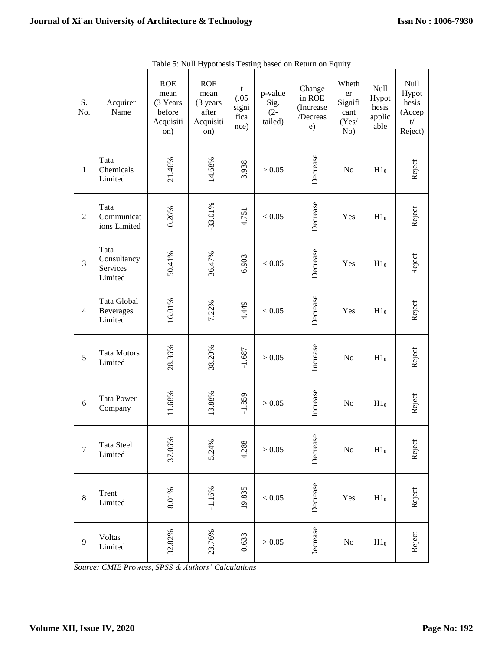| S.<br>No.      | Acquirer<br>Name                           | <b>ROE</b><br>mean<br>(3 Years<br>before<br>Acquisiti<br>on) | <b>ROE</b><br>mean<br>(3 years)<br>after<br>Acquisiti<br>on) | t<br>(.05)<br>signi<br>fica<br>nce) | p-value<br>Sig.<br>$(2 -$<br>tailed) | Change<br>in ROE<br>(Increase<br>/Decreas<br>e) | Wheth<br>er<br>Signifi<br>cant<br>(Yes/<br>No) | Null<br>Hypot<br>hesis<br>applic<br>able | Null<br>Hypot<br>hesis<br>(Accep<br>t/<br>Reject) |
|----------------|--------------------------------------------|--------------------------------------------------------------|--------------------------------------------------------------|-------------------------------------|--------------------------------------|-------------------------------------------------|------------------------------------------------|------------------------------------------|---------------------------------------------------|
| $\mathbf{1}$   | Tata<br>Chemicals<br>Limited               | 21.46%                                                       | 14.68%                                                       | 3.938                               | > 0.05                               | Decrease                                        | No                                             | H1 <sub>0</sub>                          | Reject                                            |
| $\overline{2}$ | Tata<br>Communicat<br>ions Limited         | 0.26%                                                        | $-33.01%$                                                    | 4.751                               | < 0.05                               | Decrease                                        | Yes                                            | H1 <sub>0</sub>                          | Reject                                            |
| $\overline{3}$ | Tata<br>Consultancy<br>Services<br>Limited | 50.41%                                                       | 36.47%                                                       | 6.903                               | < 0.05                               | Decrease                                        | Yes                                            | H1 <sub>0</sub>                          | Reject                                            |
| $\overline{4}$ | Tata Global<br><b>Beverages</b><br>Limited | 16.01%                                                       | 7.22%                                                        | 4.449                               | < 0.05                               | Decrease                                        | Yes                                            | H1 <sub>0</sub>                          | Reject                                            |
| 5              | <b>Tata Motors</b><br>Limited              | 28.36%                                                       | 38.20%                                                       | $-1.687$                            | > 0.05                               | Increase                                        | No                                             | H1 <sub>0</sub>                          | Reject                                            |
| 6              | <b>Tata Power</b><br>Company               | 11.68%                                                       | 13.88%                                                       | $-1.859$                            | > 0.05                               | Increase                                        | No                                             | H1 <sub>0</sub>                          | Reject                                            |
| $\overline{7}$ | <b>Tata Steel</b><br>Limited               | 37.06%                                                       | 5.24%                                                        | 4.288                               | > 0.05                               | Decrease                                        | No                                             | H1 <sub>0</sub>                          | Reject                                            |
| $8\,$          | Trent<br>Limited                           | 8.01%                                                        | $-1.16%$                                                     | 19.835                              | $< 0.05$                             | Decrease                                        | Yes                                            | H1 <sub>0</sub>                          | Reject                                            |
| 9              | Voltas<br>Limited                          | 32.82%                                                       | 23.76%                                                       | 0.633                               | $>0.05$                              | Decrease                                        | No                                             | $H1_0$                                   | Reject                                            |

Table 5: Null Hypothesis Testing based on Return on Equity

*Source: CMIE Prowess, SPSS & Authors' Calculations*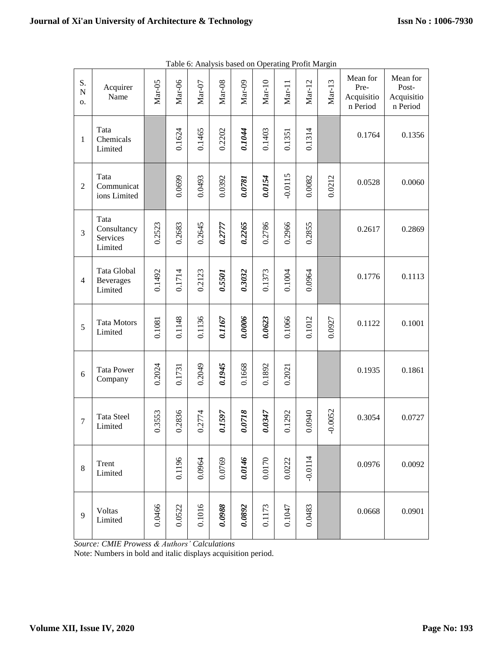| S.<br>${\bf N}$<br>о. | Acquirer<br>Name                           | $Mar-05$ | $\text{Mar-06}$ | $\rm{Mar-}07$ | $Mar-08$ | $Mar-09$ | $Mar-10$ | $Mar-11$  | $Mar-12$  | $Mar-13$  | Mean for<br>Pre-<br>Acquisitio<br>n Period | Mean for<br>Post-<br>Acquisitio<br>n Period |
|-----------------------|--------------------------------------------|----------|-----------------|---------------|----------|----------|----------|-----------|-----------|-----------|--------------------------------------------|---------------------------------------------|
| $\mathbf{1}$          | Tata<br>Chemicals<br>Limited               |          | 0.1624          | 0.1465        | 0.2202   | 0.1044   | 0.1403   | 0.1351    | 0.1314    |           | 0.1764                                     | 0.1356                                      |
| $\overline{2}$        | Tata<br>Communicat<br>ions Limited         |          | 0.0699          | 0.0493        | 0.0392   | 0.0781   | 0.0154   | $-0.0115$ | 0.0082    | 0.0212    | 0.0528                                     | 0.0060                                      |
| 3                     | Tata<br>Consultancy<br>Services<br>Limited | 0.2523   | 0.2683          | 0.2645        | 0.2777   | 0.2265   | 0.2786   | 0.2966    | 0.2855    |           | 0.2617                                     | 0.2869                                      |
| $\overline{4}$        | Tata Global<br><b>Beverages</b><br>Limited | 0.1492   | 0.1714          | 0.2123        | 0.5501   | 0.3032   | 0.1373   | 0.1004    | 0.0964    |           | 0.1776                                     | 0.1113                                      |
| 5                     | <b>Tata Motors</b><br>Limited              | 0.1081   | 0.1148          | 0.1136        | 0.1167   | 0.0006   | 0.0623   | 0.1066    | 0.1012    | 0.0927    | 0.1122                                     | 0.1001                                      |
| 6                     | <b>Tata Power</b><br>Company               | 0.2024   | 0.1731          | 0.2049        | 0.1945   | 0.1668   | 0.1892   | 0.2021    |           |           | 0.1935                                     | 0.1861                                      |
| $\overline{7}$        | <b>Tata Steel</b><br>Limited               | 0.3553   | 0.2836          | 0.2774        | 0.1597   | 0.0718   | 0.0347   | 0.1292    | 0.0940    | $-0.0052$ | 0.3054                                     | 0.0727                                      |
| $8\,$                 | Trent<br>Limited                           |          | 0.1196          | 0.0964        | 0.0769   | 0.0146   | 0.0170   | 0.0222    | $-0.0114$ |           | 0.0976                                     | 0.0092                                      |
| 9                     | Voltas<br>Limited                          | 0.0466   | 0.0522          | 0.1016        | 0.0988   | 0.0892   | 0.1173   | 0.1047    | 0.0483    |           | 0.0668                                     | 0.0901                                      |

Table 6: Analysis based on Operating Profit Margin

*Source: CMIE Prowess & Authors' Calculations*

Note: Numbers in bold and italic displays acquisition period.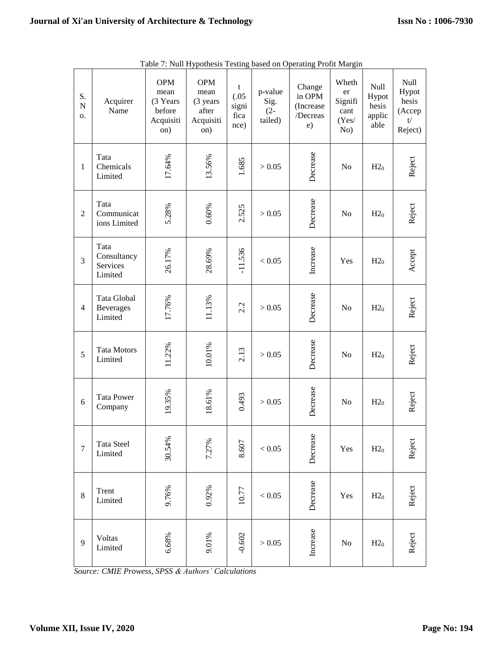| S.<br>${\bf N}$<br>о. | Acquirer<br>Name                           | <b>OPM</b><br>mean<br>(3 Years<br>before<br>Acquisiti<br>on) | <b>OPM</b><br>mean<br>(3 years<br>after<br>Acquisiti<br>on) | t<br>(.05)<br>signi<br>fica<br>nce) | p-value<br>Sig.<br>$(2 -$<br>tailed) | Change<br>in OPM<br>(Increase<br>/Decreas<br>e) | Wheth<br>er<br>Signifi<br>cant<br>(Yes/<br>No) | Null<br>Hypot<br>hesis<br>applic<br>able | Null<br>Hypot<br>hesis<br>(Accep<br>t/<br>Reject) |
|-----------------------|--------------------------------------------|--------------------------------------------------------------|-------------------------------------------------------------|-------------------------------------|--------------------------------------|-------------------------------------------------|------------------------------------------------|------------------------------------------|---------------------------------------------------|
| $\mathbf{1}$          | Tata<br>Chemicals<br>Limited               | 17.64%                                                       | 13.56%                                                      | 1.685                               | > 0.05                               | Decrease<br>No                                  |                                                | H2 <sub>0</sub>                          | Reject                                            |
| $\overline{2}$        | Tata<br>Communicat<br>ions Limited         | 5.28%                                                        | 0.60%                                                       | 2.525                               | > 0.05                               | Decrease                                        | No                                             | H2 <sub>0</sub>                          | Reject                                            |
| 3                     | Tata<br>Consultancy<br>Services<br>Limited | 26.17%                                                       | 28.69%                                                      | $-11.536$                           | < 0.05                               | Increase                                        | Yes                                            | H2 <sub>0</sub>                          | Accept                                            |
| $\overline{4}$        | Tata Global<br><b>Beverages</b><br>Limited | 17.76%                                                       | 11.13%                                                      | 2.2                                 | > 0.05                               | Decrease                                        | No                                             | H2 <sub>0</sub>                          | Reject                                            |
| 5                     | <b>Tata Motors</b><br>Limited              | 11.22%                                                       | 10.01%                                                      | 2.13                                | > 0.05                               | Decrease                                        | No                                             | H2 <sub>0</sub>                          | Reject                                            |
| 6                     | <b>Tata Power</b><br>Company               | 19.35%                                                       | 18.61%                                                      | 0.493                               | > 0.05                               | Decrease                                        | No                                             | H2 <sub>0</sub>                          | Reject                                            |
| $\overline{7}$        | Tata Steel<br>Limited                      | 30.54%                                                       | 7.27%                                                       | 8.607                               | < 0.05                               | Decrease                                        | Yes                                            | H2 <sub>0</sub>                          | Reject                                            |
| $\,8\,$               | Trent<br>Limited                           | 9.76%                                                        | 0.92%                                                       | 10.77                               | < 0.05                               | Decrease                                        | Yes                                            | H2 <sub>0</sub>                          | Reject                                            |
| 9                     | <b>Voltas</b><br>Limited                   | 6.68%                                                        | 9.01%                                                       | $-0.602$                            | $>0.05$                              | Increase                                        | $\rm No$                                       | $H2_0$                                   | Reject                                            |

|  |  | Table 7: Null Hypothesis Testing based on Operating Profit Margin |
|--|--|-------------------------------------------------------------------|
|  |  |                                                                   |

*Source: CMIE Prowess, SPSS & Authors' Calculations*